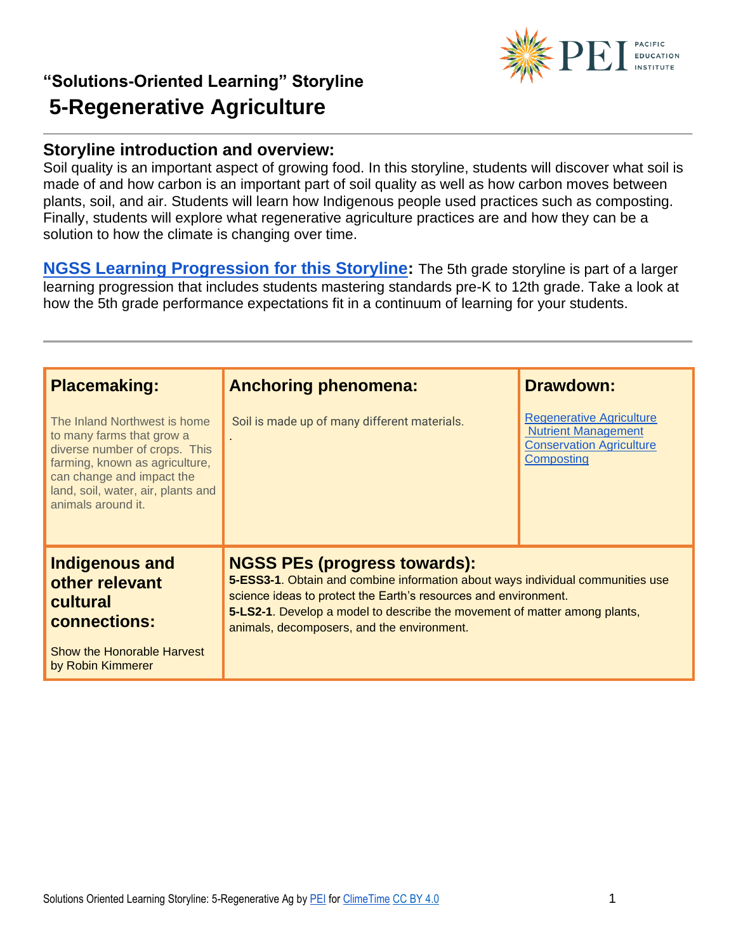

#### **Storyline introduction and overview:**

Soil quality is an important aspect of growing food. In this storyline, students will discover what soil is made of and how carbon is an important part of soil quality as well as how carbon moves between plants, soil, and air. Students will learn how Indigenous people used practices such as composting. Finally, students will explore what regenerative agriculture practices are and how they can be a solution to how the climate is changing over time.

**[NGSS Learning Progression for this Storyline:](https://pacificeductioninstitute.sharepoint.com/:x:/s/Program/EQ6jx72eybpMoG6LAwvMxSIBOk8hoF2Tlk827quJB_Kg0g?e=6u21Om)** The 5th grade storyline is part of a larger learning progression that includes students mastering standards pre-K to 12th grade. Take a look at how the 5th grade performance expectations fit in a continuum of learning for your students.

| <b>Placemaking:</b>                                                                                                                                                                                                   | <b>Anchoring phenomena:</b>                                                       | <b>Drawdown:</b>                                                                                                                                                                                                               |  |
|-----------------------------------------------------------------------------------------------------------------------------------------------------------------------------------------------------------------------|-----------------------------------------------------------------------------------|--------------------------------------------------------------------------------------------------------------------------------------------------------------------------------------------------------------------------------|--|
| The Inland Northwest is home<br>to many farms that grow a<br>diverse number of crops. This<br>farming, known as agriculture,<br>can change and impact the<br>land, soil, water, air, plants and<br>animals around it. | Soil is made up of many different materials.                                      | <b>Regenerative Agriculture</b><br><b>Nutrient Management</b><br><b>Conservation Agriculture</b><br>Composting                                                                                                                 |  |
| <b>Indigenous and</b><br>other relevant<br>cultural<br>connections:                                                                                                                                                   | <b>NGSS PEs (progress towards):</b><br>animals, decomposers, and the environment. | 5-ESS3-1. Obtain and combine information about ways individual communities use<br>science ideas to protect the Earth's resources and environment.<br>5-LS2-1. Develop a model to describe the movement of matter among plants, |  |
| Show the Honorable Harvest<br>by Robin Kimmerer                                                                                                                                                                       |                                                                                   |                                                                                                                                                                                                                                |  |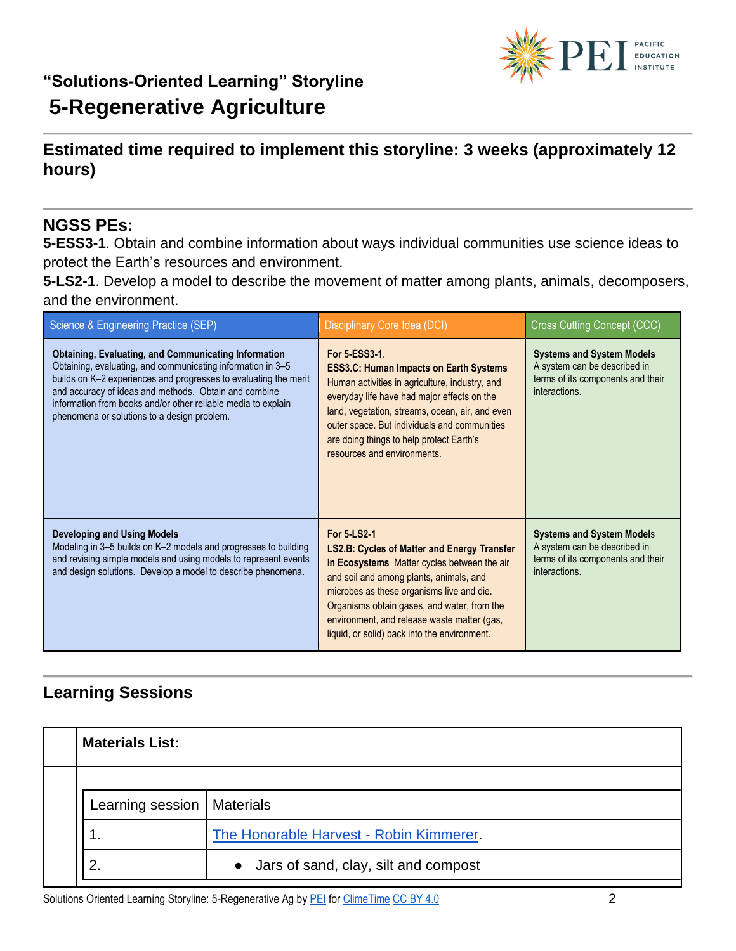

### **Estimated time required to implement this storyline: 3 weeks (approximately 12 hours)**

#### **NGSS PEs:**

**5-ESS3-1**. Obtain and combine information about ways individual communities use science ideas to protect the Earth's resources and environment.

**5-LS2-1**. Develop a model to describe the movement of matter among plants, animals, decomposers, and the environment.

| Science & Engineering Practice (SEP)                                                                                                                                                                                                                                                                                                                                    | Disciplinary Core Idea (DCI)                                                                                                                                                                                                                                                                                                                           | <b>Cross Cutting Concept (CCC)</b>                                                                                     |
|-------------------------------------------------------------------------------------------------------------------------------------------------------------------------------------------------------------------------------------------------------------------------------------------------------------------------------------------------------------------------|--------------------------------------------------------------------------------------------------------------------------------------------------------------------------------------------------------------------------------------------------------------------------------------------------------------------------------------------------------|------------------------------------------------------------------------------------------------------------------------|
| <b>Obtaining, Evaluating, and Communicating Information</b><br>Obtaining, evaluating, and communicating information in 3-5<br>builds on K-2 experiences and progresses to evaluating the merit<br>and accuracy of ideas and methods. Obtain and combine<br>information from books and/or other reliable media to explain<br>phenomena or solutions to a design problem. | For 5-ESS3-1<br><b>ESS3.C: Human Impacts on Earth Systems</b><br>Human activities in agriculture, industry, and<br>everyday life have had major effects on the<br>land, vegetation, streams, ocean, air, and even<br>outer space. But individuals and communities<br>are doing things to help protect Earth's<br>resources and environments.           | <b>Systems and System Models</b><br>A system can be described in<br>terms of its components and their<br>interactions. |
| <b>Developing and Using Models</b><br>Modeling in 3-5 builds on K-2 models and progresses to building<br>and revising simple models and using models to represent events<br>and design solutions. Develop a model to describe phenomena.                                                                                                                                | For 5-LS2-1<br><b>LS2.B: Cycles of Matter and Energy Transfer</b><br>in Ecosystems Matter cycles between the air<br>and soil and among plants, animals, and<br>microbes as these organisms live and die.<br>Organisms obtain gases, and water, from the<br>environment, and release waste matter (gas,<br>liquid, or solid) back into the environment. | <b>Systems and System Models</b><br>A system can be described in<br>terms of its components and their<br>interactions. |

### **Learning Sessions**

| <b>Materials List:</b>       |                                         |
|------------------------------|-----------------------------------------|
|                              |                                         |
| Learning session   Materials |                                         |
|                              | The Honorable Harvest - Robin Kimmerer. |
|                              | • Jars of sand, clay, silt and compost  |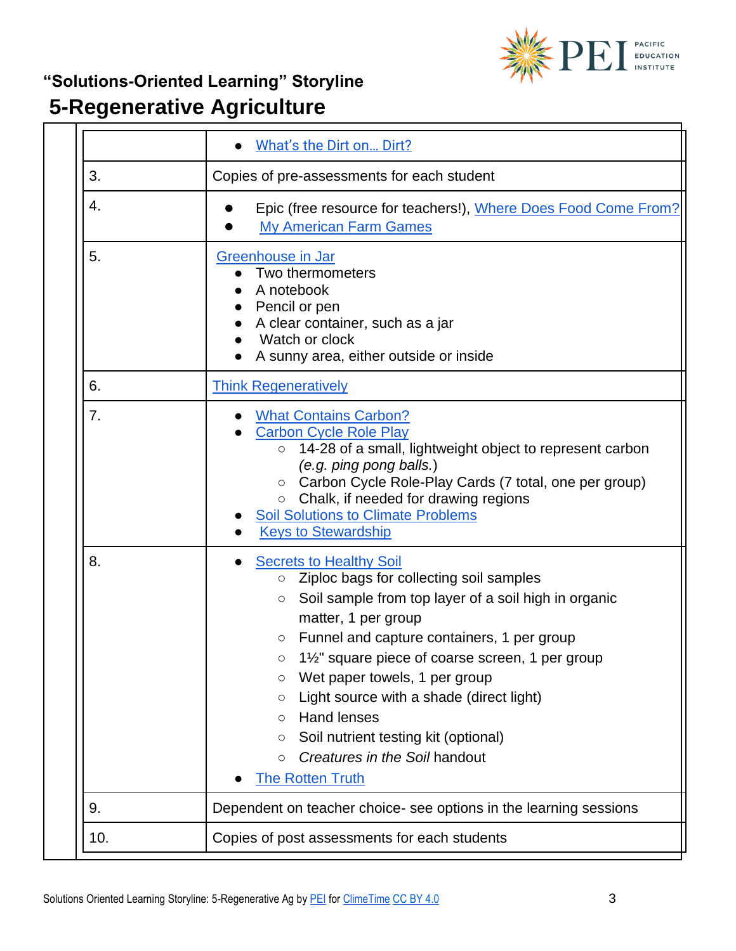

# **"Solutions-Oriented Learning" Storyline**

# **5-Regenerative Agriculture**

|     | What's the Dirt on Dirt?                                                                                                                                                                                                                                                                                                                                                                                                                                                                                                                                |
|-----|---------------------------------------------------------------------------------------------------------------------------------------------------------------------------------------------------------------------------------------------------------------------------------------------------------------------------------------------------------------------------------------------------------------------------------------------------------------------------------------------------------------------------------------------------------|
| 3.  | Copies of pre-assessments for each student                                                                                                                                                                                                                                                                                                                                                                                                                                                                                                              |
| 4.  | Epic (free resource for teachers!), Where Does Food Come From?<br><b>My American Farm Games</b>                                                                                                                                                                                                                                                                                                                                                                                                                                                         |
| 5.  | Greenhouse in Jar<br>Two thermometers<br>A notebook<br>Pencil or pen<br>A clear container, such as a jar<br>Watch or clock<br>A sunny area, either outside or inside                                                                                                                                                                                                                                                                                                                                                                                    |
| 6.  | <b>Think Regeneratively</b>                                                                                                                                                                                                                                                                                                                                                                                                                                                                                                                             |
| 7.  | <b>What Contains Carbon?</b><br><b>Carbon Cycle Role Play</b><br>14-28 of a small, lightweight object to represent carbon<br>$\circ$<br>(e.g. ping pong balls.)<br>Carbon Cycle Role-Play Cards (7 total, one per group)<br>$\circ$<br>Chalk, if needed for drawing regions<br>$\circ$<br><b>Soil Solutions to Climate Problems</b><br><b>Keys to Stewardship</b>                                                                                                                                                                                       |
| 8.  | <b>Secrets to Healthy Soil</b><br>Ziploc bags for collecting soil samples<br>$\circ$<br>Soil sample from top layer of a soil high in organic<br>$\circ$<br>matter, 1 per group<br>Funnel and capture containers, 1 per group<br>О<br>$1\frac{1}{2}$ " square piece of coarse screen, 1 per group<br>О<br>Wet paper towels, 1 per group<br>О<br>Light source with a shade (direct light)<br>O<br><b>Hand lenses</b><br>$\circ$<br>Soil nutrient testing kit (optional)<br>$\circ$<br>Creatures in the Soil handout<br>$\circ$<br><b>The Rotten Truth</b> |
| 9.  | Dependent on teacher choice- see options in the learning sessions                                                                                                                                                                                                                                                                                                                                                                                                                                                                                       |
| 10. | Copies of post assessments for each students                                                                                                                                                                                                                                                                                                                                                                                                                                                                                                            |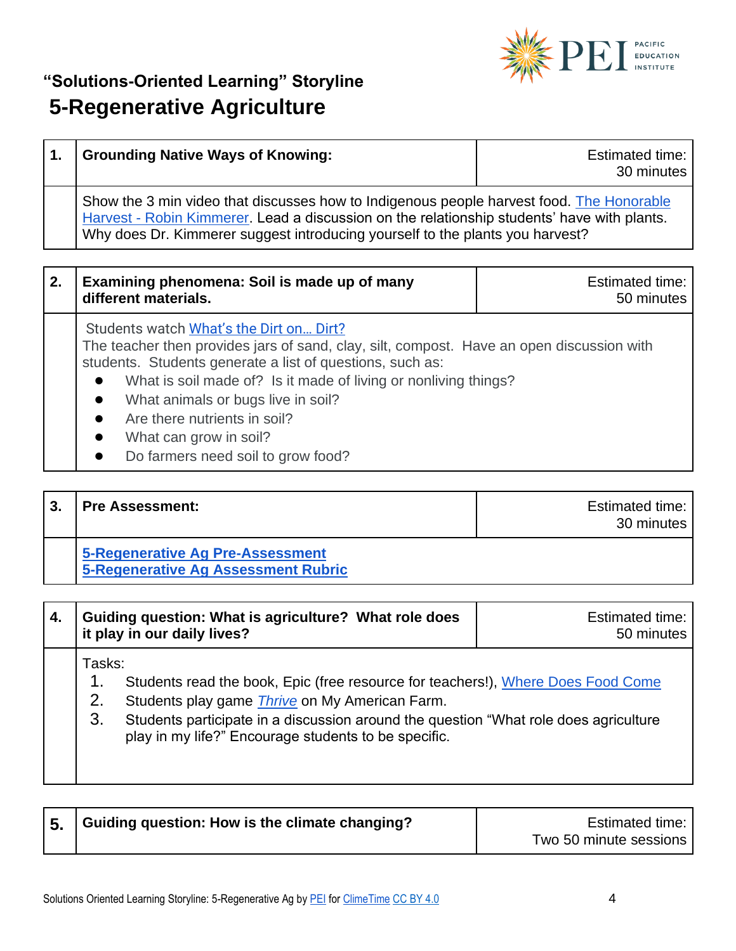

| <b>Grounding Native Ways of Knowing:</b>                                                                                                                                                                                                                                 | <b>Estimated time:</b><br>30 minutes |
|--------------------------------------------------------------------------------------------------------------------------------------------------------------------------------------------------------------------------------------------------------------------------|--------------------------------------|
| Show the 3 min video that discusses how to Indigenous people harvest food. The Honorable<br>Harvest - Robin Kimmerer. Lead a discussion on the relationship students' have with plants.<br>Why does Dr. Kimmerer suggest introducing yourself to the plants you harvest? |                                      |

| $\overline{2}$ . | Examining phenomena: Soil is made up of many<br>different materials. | <b>Estimated time:</b><br>50 minutes |
|------------------|----------------------------------------------------------------------|--------------------------------------|
|                  | Students watch What's the Dirt on Dirt?                              |                                      |

The teacher then provides jars of sand, clay, silt, compost. Have an open discussion with students. Students generate a list of questions, such as:

- What is soil made of? Is it made of living or nonliving things?
- What animals or bugs live in soil?
- Are there nutrients in soil?
- What can grow in soil?
- Do farmers need soil to grow food?

# **3. Pre Assessment: Extinction Extinction Extinction Estimated time: Estimated time:**

30 minutes

**[5-Regenerative Ag Pre-Assessment](https://pacificeductioninstitute.sharepoint.com/:w:/s/Program/EUwOpjJsutdMuyTmc1kAMVkBJr8PMs-ITl9_io6nkIJNpg?e=TjulpS) [5-Regenerative Ag Assessment Rubric](https://pacificeductioninstitute.sharepoint.com/:w:/s/Program/ESu03-U-pzFDiWzYPP8CqX0BmdfpPpcqsFi2y0C1hCPejg?e=0qwZjh)**

| 4. Guiding question: What is agriculture? What role does<br>I it play in our daily lives? | Estimated time:<br>50 minutes |
|-------------------------------------------------------------------------------------------|-------------------------------|
| Гasks:                                                                                    |                               |

1. Students read the book, Epic (free resource for teachers!), Where Does Food Come

- 2. Students play game *[Thrive](http://www.myamericanfarm.org/classroom/games)* on My American Farm.
- 3. Students participate in a discussion around the question "What role does agriculture play in my life?" Encourage students to be specific.

| 5. Guiding question: How is the climate changing? | Estimated time:        |
|---------------------------------------------------|------------------------|
|                                                   | Two 50 minute sessions |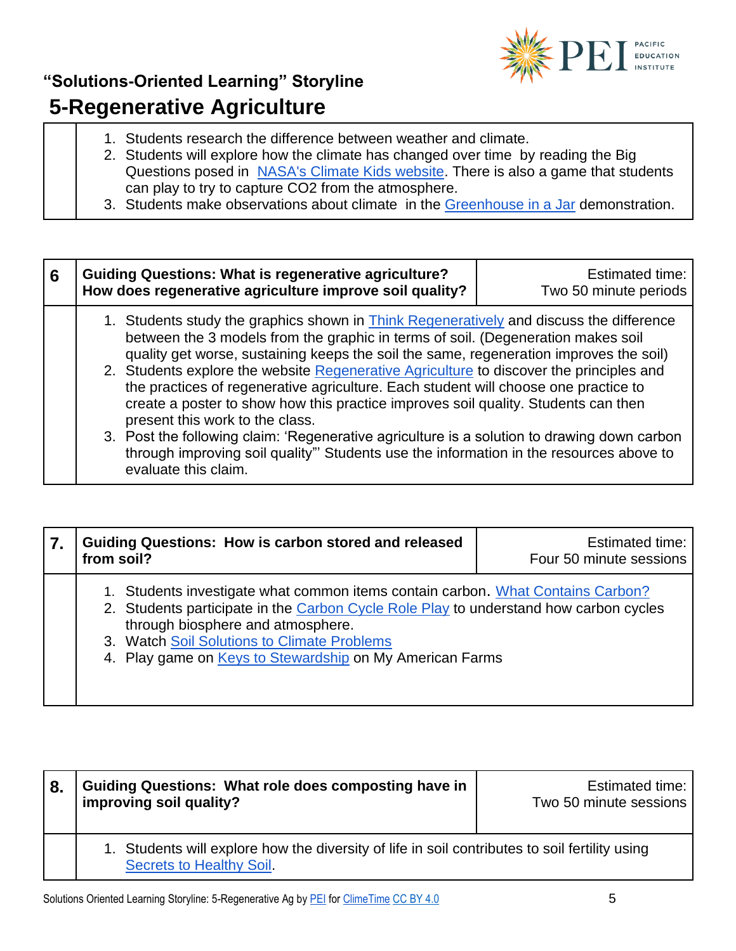

- 1. Students research the difference between weather and climate.
- 2. Students will explore how the climate has changed over time by reading the Big Questions posed in [NASA's Climate Kids website.](https://climatekids.nasa.gov/menu/big-questions/) There is also a game that students can play to try to capture CO2 from the atmosphere.
- 3. Students make observations about climate in the [Greenhouse in a Jar](https://www.education.com/activity/article/Observe_Greenhouse_Effect/) demonstration.

| 6 | <b>Guiding Questions: What is regenerative agriculture?</b><br>How does regenerative agriculture improve soil quality?                                                                                                                                                                                                                                                                                                                                                                                                                                                                                                                                                                                                                                                                                    | <b>Estimated time:</b><br>Two 50 minute periods |
|---|-----------------------------------------------------------------------------------------------------------------------------------------------------------------------------------------------------------------------------------------------------------------------------------------------------------------------------------------------------------------------------------------------------------------------------------------------------------------------------------------------------------------------------------------------------------------------------------------------------------------------------------------------------------------------------------------------------------------------------------------------------------------------------------------------------------|-------------------------------------------------|
|   | 1. Students study the graphics shown in <b>Think Regeneratively</b> and discuss the difference<br>between the 3 models from the graphic in terms of soil. (Degeneration makes soil<br>quality get worse, sustaining keeps the soil the same, regeneration improves the soil)<br>2. Students explore the website Regenerative Agriculture to discover the principles and<br>the practices of regenerative agriculture. Each student will choose one practice to<br>create a poster to show how this practice improves soil quality. Students can then<br>present this work to the class.<br>3. Post the following claim: 'Regenerative agriculture is a solution to drawing down carbon<br>through improving soil quality"' Students use the information in the resources above to<br>evaluate this claim. |                                                 |

| 7. | <b>Guiding Questions: How is carbon stored and released</b><br>from soil?                                                                                                                                                                                                                                                | <b>Estimated time:</b><br>Four 50 minute sessions |
|----|--------------------------------------------------------------------------------------------------------------------------------------------------------------------------------------------------------------------------------------------------------------------------------------------------------------------------|---------------------------------------------------|
|    | 1. Students investigate what common items contain carbon. What Contains Carbon?<br>2. Students participate in the Carbon Cycle Role Play to understand how carbon cycles<br>through biosphere and atmosphere.<br>3. Watch Soil Solutions to Climate Problems<br>4. Play game on Keys to Stewardship on My American Farms |                                                   |

| 8. | <b>Guiding Questions: What role does composting have in</b><br>improving soil quality?                                    | Estimated time:<br>Two 50 minute sessions |
|----|---------------------------------------------------------------------------------------------------------------------------|-------------------------------------------|
|    | 1. Students will explore how the diversity of life in soil contributes to soil fertility using<br>Secrets to Healthy Soil |                                           |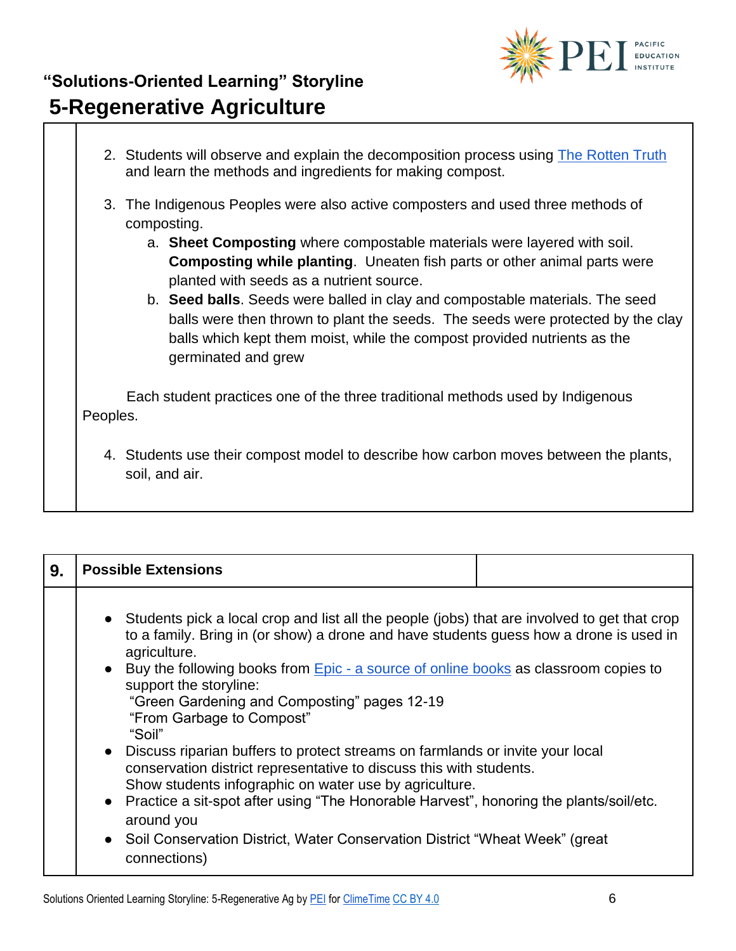

2. Students will observe and explain the decomposition process using [The Rotten Truth](https://utah.agclassroom.org/teacher/matrix/lessonplan.cfm?lpid=370&search_term_lp=soil) and learn the methods and ingredients for making compost. 3. The Indigenous Peoples were also active composters and used three methods of composting. a. **Sheet Composting** where compostable materials were layered with soil. **Composting while planting**. Uneaten fish parts or other animal parts were planted with seeds as a nutrient source. b. **Seed balls**. Seeds were balled in clay and compostable materials. The seed balls were then thrown to plant the seeds. The seeds were protected by the clay balls which kept them moist, while the compost provided nutrients as the germinated and grew Each student practices one of the three traditional methods used by Indigenous Peoples. 4. Students use their compost model to describe how carbon moves between the plants, soil, and air.

| 9. | <b>Possible Extensions</b>                                                                                                                                                                                                                                                                                                                                                                                                                                                                                                                                                                                                                                                                                                                                                                                                                        |
|----|---------------------------------------------------------------------------------------------------------------------------------------------------------------------------------------------------------------------------------------------------------------------------------------------------------------------------------------------------------------------------------------------------------------------------------------------------------------------------------------------------------------------------------------------------------------------------------------------------------------------------------------------------------------------------------------------------------------------------------------------------------------------------------------------------------------------------------------------------|
|    | • Students pick a local crop and list all the people (jobs) that are involved to get that crop<br>to a family. Bring in (or show) a drone and have students guess how a drone is used in<br>agriculture.<br>• Buy the following books from Epic - a source of online books as classroom copies to<br>support the storyline:<br>"Green Gardening and Composting" pages 12-19<br>"From Garbage to Compost"<br>"Soil"<br>• Discuss riparian buffers to protect streams on farmlands or invite your local<br>conservation district representative to discuss this with students.<br>Show students infographic on water use by agriculture.<br>• Practice a sit-spot after using "The Honorable Harvest", honoring the plants/soil/etc.<br>around you<br>• Soil Conservation District, Water Conservation District "Wheat Week" (great<br>connections) |